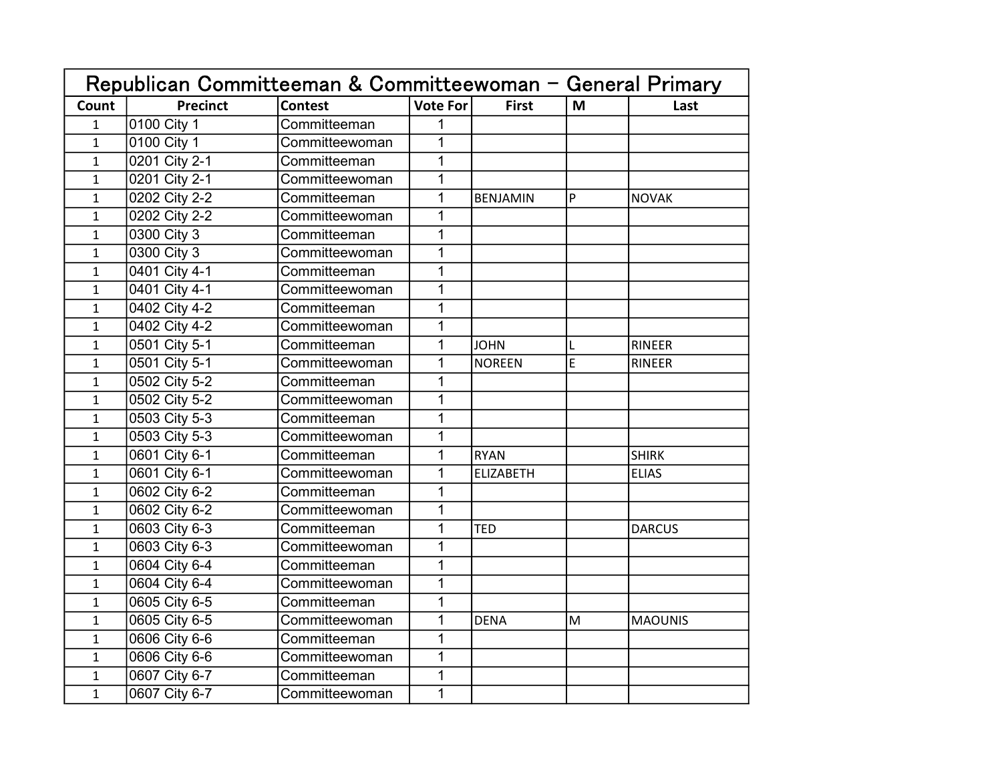|              | Republican Committeeman & Committeewoman - General Primary |                |                 |                 |   |                |
|--------------|------------------------------------------------------------|----------------|-----------------|-----------------|---|----------------|
| Count        | <b>Precinct</b>                                            | <b>Contest</b> | <b>Vote For</b> | <b>First</b>    | M | Last           |
| $\mathbf{1}$ | 0100 City 1                                                | Committeeman   | 1               |                 |   |                |
| $\mathbf{1}$ | 0100 City 1                                                | Committeewoman | $\mathbf 1$     |                 |   |                |
| $\mathbf{1}$ | 0201 City 2-1                                              | Committeeman   | 1               |                 |   |                |
| $\mathbf 1$  | 0201 City 2-1                                              | Committeewoman | 1               |                 |   |                |
| $\mathbf{1}$ | 0202 City 2-2                                              | Committeeman   | $\overline{1}$  | <b>BENJAMIN</b> | P | <b>NOVAK</b>   |
| $\mathbf{1}$ | 0202 City 2-2                                              | Committeewoman | 1               |                 |   |                |
| $\mathbf 1$  | 0300 City 3                                                | Committeeman   | $\mathbf 1$     |                 |   |                |
| $\mathbf 1$  | 0300 City 3                                                | Committeewoman | $\mathbf 1$     |                 |   |                |
| $\mathbf{1}$ | 0401 City 4-1                                              | Committeeman   | 1               |                 |   |                |
| $\mathbf{1}$ | 0401 City 4-1                                              | Committeewoman | $\overline{1}$  |                 |   |                |
| $\mathbf{1}$ | 0402 City 4-2                                              | Committeeman   | 1               |                 |   |                |
| $\mathbf{1}$ | 0402 City 4-2                                              | Committeewoman | 1               |                 |   |                |
| $\mathbf 1$  | 0501 City 5-1                                              | Committeeman   | 1               | <b>JOHN</b>     | L | <b>RINEER</b>  |
| $\mathbf 1$  | 0501 City 5-1                                              | Committeewoman | 1               | <b>NOREEN</b>   | E | <b>RINEER</b>  |
| $\mathbf{1}$ | 0502 City 5-2                                              | Committeeman   | 1               |                 |   |                |
| $\mathbf 1$  | 0502 City 5-2                                              | Committeewoman | 1               |                 |   |                |
| $\mathbf{1}$ | 0503 City 5-3                                              | Committeeman   | 1               |                 |   |                |
| $\mathbf{1}$ | 0503 City 5-3                                              | Committeewoman | 1               |                 |   |                |
| $\mathbf 1$  | 0601 City 6-1                                              | Committeeman   | 1               | <b>RYAN</b>     |   | <b>SHIRK</b>   |
| $\mathbf 1$  | 0601 City 6-1                                              | Committeewoman | 1               | ELIZABETH       |   | <b>ELIAS</b>   |
| $\mathbf{1}$ | 0602 City 6-2                                              | Committeeman   | 1               |                 |   |                |
| $\mathbf{1}$ | 0602 City 6-2                                              | Committeewoman | 1               |                 |   |                |
| $\mathbf 1$  | 0603 City 6-3                                              | Committeeman   | 1               | <b>TED</b>      |   | <b>DARCUS</b>  |
| $\mathbf{1}$ | 0603 City 6-3                                              | Committeewoman | 1               |                 |   |                |
| $\mathbf 1$  | 0604 City 6-4                                              | Committeeman   | 1               |                 |   |                |
| $\mathbf 1$  | 0604 City 6-4                                              | Committeewoman | $\mathbf 1$     |                 |   |                |
| $\mathbf{1}$ | 0605 City 6-5                                              | Committeeman   | $\mathbf 1$     |                 |   |                |
| $\mathbf{1}$ | 0605 City 6-5                                              | Committeewoman | $\overline{1}$  | <b>DENA</b>     | M | <b>MAOUNIS</b> |
| $\mathbf 1$  | 0606 City 6-6                                              | Committeeman   | 1               |                 |   |                |
| $\mathbf{1}$ | 0606 City 6-6                                              | Committeewoman | $\mathbf{1}$    |                 |   |                |
| $\mathbf 1$  | 0607 City 6-7                                              | Committeeman   | $\mathbf 1$     |                 |   |                |
| $\mathbf{1}$ | 0607 City 6-7                                              | Committeewoman | $\mathbf{1}$    |                 |   |                |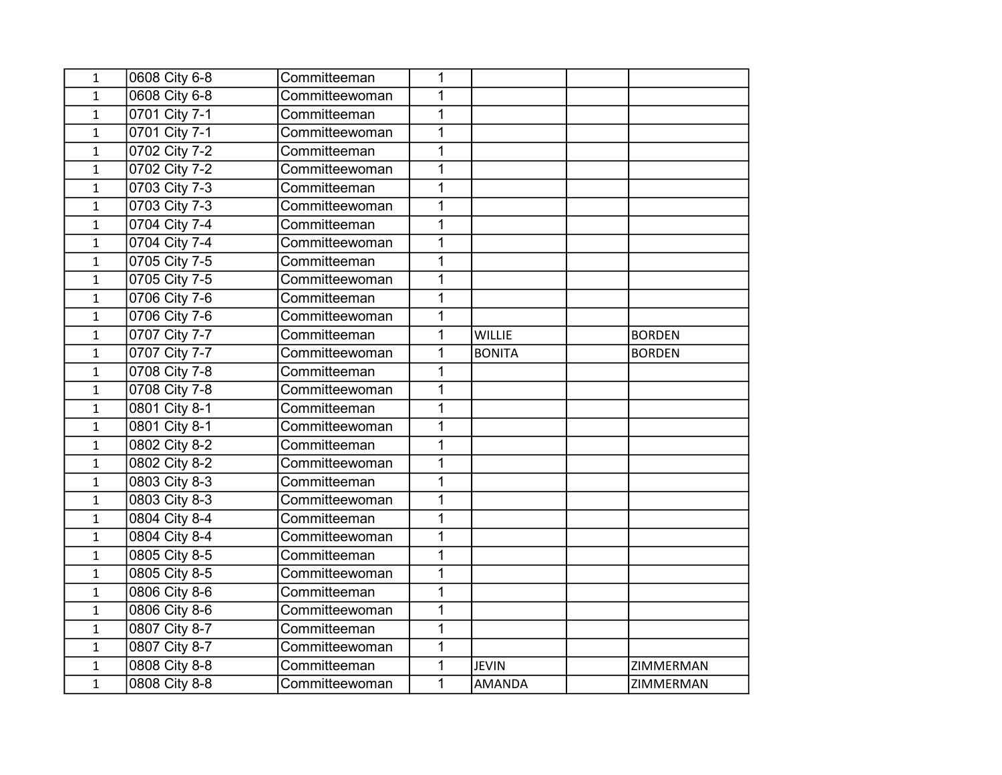| 1            | 0608 City 6-8 | Committeeman   | 1 |               |               |
|--------------|---------------|----------------|---|---------------|---------------|
| $\mathbf{1}$ | 0608 City 6-8 | Committeewoman | 1 |               |               |
| $\mathbf 1$  | 0701 City 7-1 | Committeeman   | 1 |               |               |
| $\mathbf{1}$ | 0701 City 7-1 | Committeewoman | 1 |               |               |
| $\mathbf{1}$ | 0702 City 7-2 | Committeeman   | 1 |               |               |
| $\mathbf{1}$ | 0702 City 7-2 | Committeewoman | 1 |               |               |
| $\mathbf{1}$ | 0703 City 7-3 | Committeeman   | 1 |               |               |
| $\mathbf 1$  | 0703 City 7-3 | Committeewoman | 1 |               |               |
| $\mathbf 1$  | 0704 City 7-4 | Committeeman   | 1 |               |               |
| $\mathbf 1$  | 0704 City 7-4 | Committeewoman | 1 |               |               |
| $\mathbf{1}$ | 0705 City 7-5 | Committeeman   | 1 |               |               |
| $\mathbf{1}$ | 0705 City 7-5 | Committeewoman | 1 |               |               |
| $\mathbf{1}$ | 0706 City 7-6 | Committeeman   | 1 |               |               |
| $\mathbf 1$  | 0706 City 7-6 | Committeewoman | 1 |               |               |
| $\mathbf 1$  | 0707 City 7-7 | Committeeman   | 1 | <b>WILLIE</b> | <b>BORDEN</b> |
| $\mathbf{1}$ | 0707 City 7-7 | Committeewoman | 1 | <b>BONITA</b> | <b>BORDEN</b> |
| $\mathbf{1}$ | 0708 City 7-8 | Committeeman   | 1 |               |               |
| $\mathbf{1}$ | 0708 City 7-8 | Committeewoman | 1 |               |               |
| $\mathbf 1$  | 0801 City 8-1 | Committeeman   | 1 |               |               |
| $\mathbf{1}$ | 0801 City 8-1 | Committeewoman | 1 |               |               |
| $\mathbf{1}$ | 0802 City 8-2 | Committeeman   | 1 |               |               |
| $\mathbf{1}$ | 0802 City 8-2 | Committeewoman | 1 |               |               |
| $\mathbf 1$  | 0803 City 8-3 | Committeeman   | 1 |               |               |
| $\mathbf 1$  | 0803 City 8-3 | Committeewoman | 1 |               |               |
| $\mathbf{1}$ | 0804 City 8-4 | Committeeman   | 1 |               |               |
| $\mathbf{1}$ | 0804 City 8-4 | Committeewoman | 1 |               |               |
| $\mathbf{1}$ | 0805 City 8-5 | Committeeman   | 1 |               |               |
| $\mathbf 1$  | 0805 City 8-5 | Committeewoman | 1 |               |               |
| $\mathbf 1$  | 0806 City 8-6 | Committeeman   | 1 |               |               |
| $\mathbf 1$  | 0806 City 8-6 | Committeewoman | 1 |               |               |
| $\mathbf{1}$ | 0807 City 8-7 | Committeeman   | 1 |               |               |
| $\mathbf{1}$ | 0807 City 8-7 | Committeewoman | 1 |               |               |
| $\mathbf 1$  | 0808 City 8-8 | Committeeman   | 1 | <b>JEVIN</b>  | ZIMMERMAN     |
| 1            | 0808 City 8-8 | Committeewoman | 1 | <b>AMANDA</b> | ZIMMERMAN     |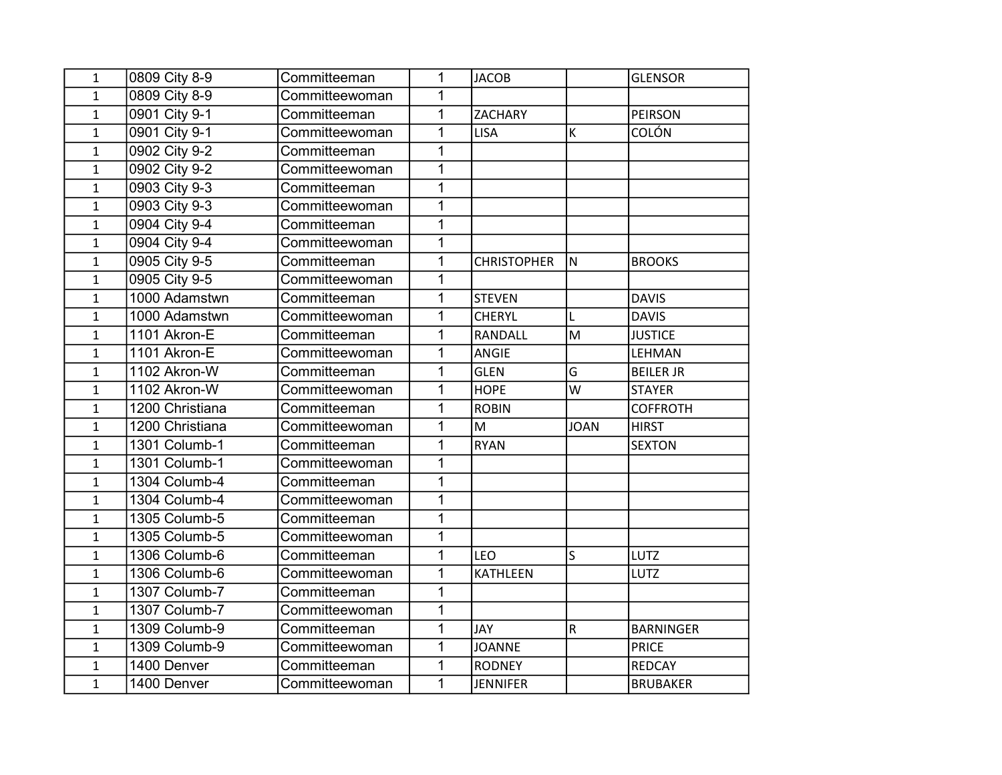| $\mathbf{1}$ | 0809 City 8-9   | Committeeman   | 1              | <b>JACOB</b>       |             | <b>GLENSOR</b>   |
|--------------|-----------------|----------------|----------------|--------------------|-------------|------------------|
| $\mathbf{1}$ | 0809 City 8-9   | Committeewoman | 1              |                    |             |                  |
| $\mathbf{1}$ | 0901 City 9-1   | Committeeman   | $\overline{1}$ | <b>ZACHARY</b>     |             | <b>PEIRSON</b>   |
| $\mathbf{1}$ | 0901 City 9-1   | Committeewoman | 1              | <b>LISA</b>        | К           | <b>COLÓN</b>     |
| $\mathbf{1}$ | 0902 City 9-2   | Committeeman   | 1              |                    |             |                  |
| $\mathbf{1}$ | 0902 City 9-2   | Committeewoman | 1              |                    |             |                  |
| $\mathbf{1}$ | 0903 City 9-3   | Committeeman   | 1              |                    |             |                  |
| $\mathbf{1}$ | 0903 City 9-3   | Committeewoman | $\mathbf 1$    |                    |             |                  |
| $\mathbf{1}$ | 0904 City 9-4   | Committeeman   | $\overline{1}$ |                    |             |                  |
| $\mathbf{1}$ | 0904 City 9-4   | Committeewoman | 1              |                    |             |                  |
| $\mathbf{1}$ | 0905 City 9-5   | Committeeman   | 1              | <b>CHRISTOPHER</b> | İN.         | <b>BROOKS</b>    |
| $\mathbf{1}$ | 0905 City 9-5   | Committeewoman | 1              |                    |             |                  |
| $\mathbf{1}$ | 1000 Adamstwn   | Committeeman   | $\overline{1}$ | <b>STEVEN</b>      |             | <b>DAVIS</b>     |
| $\mathbf{1}$ | 1000 Adamstwn   | Committeewoman | 1              | <b>CHERYL</b>      |             | <b>DAVIS</b>     |
| $\mathbf{1}$ | 1101 Akron-E    | Committeeman   | 1              | RANDALL            | M           | <b>JUSTICE</b>   |
| $\mathbf{1}$ | 1101 Akron-E    | Committeewoman | $\mathbf 1$    | ANGIE              |             | LEHMAN           |
| $\mathbf{1}$ | 1102 Akron-W    | Committeeman   | 1              | <b>GLEN</b>        | G           | <b>BEILER JR</b> |
| $\mathbf{1}$ | 1102 Akron-W    | Committeewoman | 1              | <b>HOPE</b>        | W           | <b>STAYER</b>    |
| $\mathbf{1}$ | 1200 Christiana | Committeeman   | $\mathbf 1$    | <b>ROBIN</b>       |             | <b>COFFROTH</b>  |
| $\mathbf{1}$ | 1200 Christiana | Committeewoman | 1              | M                  | <b>JOAN</b> | <b>HIRST</b>     |
| $\mathbf{1}$ | 1301 Columb-1   | Committeeman   | 1              | <b>RYAN</b>        |             | <b>SEXTON</b>    |
| $\mathbf{1}$ | 1301 Columb-1   | Committeewoman | 1              |                    |             |                  |
| $\mathbf{1}$ | 1304 Columb-4   | Committeeman   | 1              |                    |             |                  |
| $\mathbf{1}$ | 1304 Columb-4   | Committeewoman | $\overline{1}$ |                    |             |                  |
| $\mathbf{1}$ | 1305 Columb-5   | Committeeman   | 1              |                    |             |                  |
| $\mathbf{1}$ | 1305 Columb-5   | Committeewoman | 1              |                    |             |                  |
| $\mathbf{1}$ | 1306 Columb-6   | Committeeman   | $\mathbf 1$    | <b>LEO</b>         | S           | LUTZ             |
| $\mathbf{1}$ | 1306 Columb-6   | Committeewoman | $\mathbf 1$    | <b>KATHLEEN</b>    |             | LUTZ             |
| $\mathbf{1}$ | 1307 Columb-7   | Committeeman   | $\overline{1}$ |                    |             |                  |
| $\mathbf{1}$ | 1307 Columb-7   | Committeewoman | $\mathbf 1$    |                    |             |                  |
| $\mathbf{1}$ | 1309 Columb-9   | Committeeman   | $\mathbf 1$    | <b>JAY</b>         | ${\sf R}$   | <b>BARNINGER</b> |
| $\mathbf{1}$ | 1309 Columb-9   | Committeewoman | 1              | <b>JOANNE</b>      |             | <b>PRICE</b>     |
| $\mathbf{1}$ | 1400 Denver     | Committeeman   | $\mathbf 1$    | <b>RODNEY</b>      |             | <b>REDCAY</b>    |
| $\mathbf{1}$ | 1400 Denver     | Committeewoman | $\overline{1}$ | <b>JENNIFER</b>    |             | <b>BRUBAKER</b>  |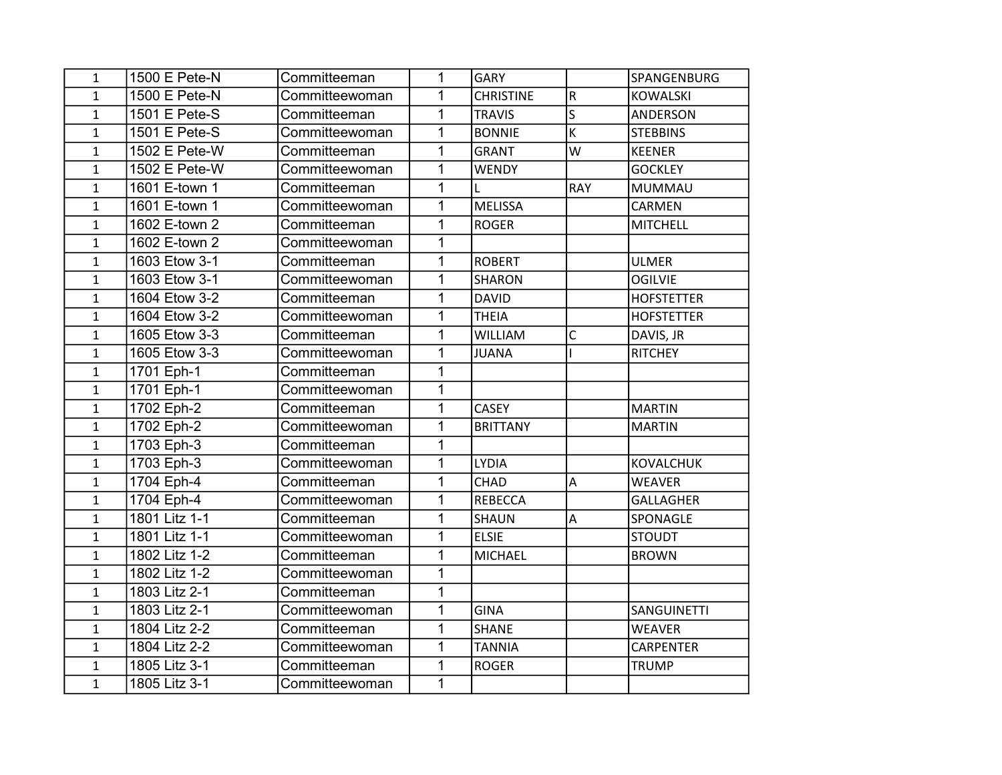| 1            | 1500 E Pete-N | Committeeman   | 1              | <b>GARY</b>      |                         | SPANGENBURG        |
|--------------|---------------|----------------|----------------|------------------|-------------------------|--------------------|
| $\mathbf{1}$ | 1500 E Pete-N | Committeewoman | 1              | <b>CHRISTINE</b> | $\mathsf R$             | <b>KOWALSKI</b>    |
| $\mathbf{1}$ | 1501 E Pete-S | Committeeman   | $\mathbf{1}$   | <b>TRAVIS</b>    | $\overline{\mathsf{s}}$ | ANDERSON           |
| $\mathbf{1}$ | 1501 E Pete-S | Committeewoman | 1              | <b>BONNIE</b>    | K                       | <b>STEBBINS</b>    |
| $\mathbf{1}$ | 1502 E Pete-W | Committeeman   | 1              | <b>GRANT</b>     | W                       | <b>KEENER</b>      |
| $\mathbf{1}$ | 1502 E Pete-W | Committeewoman | 1              | <b>WENDY</b>     |                         | <b>GOCKLEY</b>     |
| $\mathbf{1}$ | 1601 E-town 1 | Committeeman   | 1              | Г                | <b>RAY</b>              | <b>MUMMAU</b>      |
| $\mathbf{1}$ | 1601 E-town 1 | Committeewoman | $\mathbf 1$    | <b>MELISSA</b>   |                         | CARMEN             |
| $\mathbf{1}$ | 1602 E-town 2 | Committeeman   | 1              | <b>ROGER</b>     |                         | <b>MITCHELL</b>    |
| $\mathbf{1}$ | 1602 E-town 2 | Committeewoman | $\mathbf 1$    |                  |                         |                    |
| $\mathbf{1}$ | 1603 Etow 3-1 | Committeeman   | $\mathbf 1$    | <b>ROBERT</b>    |                         | <b>ULMER</b>       |
| $\mathbf{1}$ | 1603 Etow 3-1 | Committeewoman | 1              | <b>SHARON</b>    |                         | <b>OGILVIE</b>     |
| $\mathbf{1}$ | 1604 Etow 3-2 | Committeeman   | $\mathbf{1}$   | <b>DAVID</b>     |                         | <b>HOFSTETTER</b>  |
| $\mathbf{1}$ | 1604 Etow 3-2 | Committeewoman | $\mathbf{1}$   | <b>THEIA</b>     |                         | <b>HOFSTETTER</b>  |
| $\mathbf{1}$ | 1605 Etow 3-3 | Committeeman   | $\mathbf{1}$   | <b>WILLIAM</b>   | $\mathsf{C}$            | DAVIS, JR          |
| $\mathbf{1}$ | 1605 Etow 3-3 | Committeewoman | 1              | <b>JUANA</b>     |                         | <b>RITCHEY</b>     |
| $\mathbf{1}$ | 1701 Eph-1    | Committeeman   | 1              |                  |                         |                    |
| $\mathbf{1}$ | 1701 Eph-1    | Committeewoman | $\mathbf{1}$   |                  |                         |                    |
| $\mathbf{1}$ | 1702 Eph-2    | Committeeman   | $\mathbf{1}$   | <b>CASEY</b>     |                         | <b>MARTIN</b>      |
| $\mathbf{1}$ | 1702 Eph-2    | Committeewoman | 1              | <b>BRITTANY</b>  |                         | <b>MARTIN</b>      |
| $\mathbf{1}$ | 1703 Eph-3    | Committeeman   | $\mathbf 1$    |                  |                         |                    |
| $\mathbf{1}$ | 1703 Eph-3    | Committeewoman | 1              | <b>LYDIA</b>     |                         | <b>KOVALCHUK</b>   |
| $\mathbf{1}$ | 1704 Eph-4    | Committeeman   | $\overline{1}$ | <b>CHAD</b>      | $\overline{A}$          | <b>WEAVER</b>      |
| $\mathbf{1}$ | 1704 Eph-4    | Committeewoman | $\mathbf{1}$   | <b>REBECCA</b>   |                         | <b>GALLAGHER</b>   |
| $\mathbf{1}$ | 1801 Litz 1-1 | Committeeman   | 1              | SHAUN            | $\overline{A}$          | SPONAGLE           |
| $\mathbf{1}$ | 1801 Litz 1-1 | Committeewoman | 1              | <b>ELSIE</b>     |                         | <b>STOUDT</b>      |
| $\mathbf{1}$ | 1802 Litz 1-2 | Committeeman   | 1              | <b>MICHAEL</b>   |                         | <b>BROWN</b>       |
| $\mathbf{1}$ | 1802 Litz 1-2 | Committeewoman | 1              |                  |                         |                    |
| $\mathbf{1}$ | 1803 Litz 2-1 | Committeeman   | $\mathbf{1}$   |                  |                         |                    |
| $\mathbf{1}$ | 1803 Litz 2-1 | Committeewoman | $\mathbf{1}$   | <b>GINA</b>      |                         | <b>SANGUINETTI</b> |
| $\mathbf{1}$ | 1804 Litz 2-2 | Committeeman   | $\mathbf 1$    | <b>SHANE</b>     |                         | <b>WEAVER</b>      |
| $\mathbf{1}$ | 1804 Litz 2-2 | Committeewoman | $\mathbf{1}$   | <b>TANNIA</b>    |                         | <b>CARPENTER</b>   |
| $\mathbf{1}$ | 1805 Litz 3-1 | Committeeman   | $\mathbf{1}$   | <b>ROGER</b>     |                         | <b>TRUMP</b>       |
| $\mathbf{1}$ | 1805 Litz 3-1 | Committeewoman | $\mathbf{1}$   |                  |                         |                    |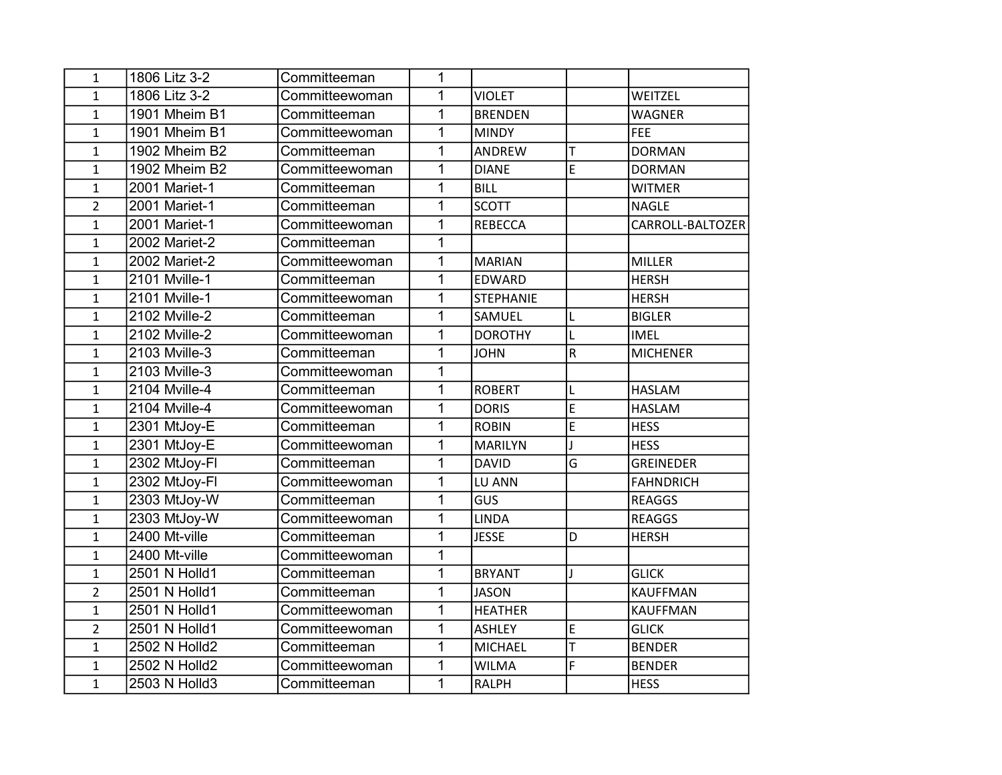| $\mathbf{1}$   | 1806 Litz 3-2 | Committeeman   | 1              |                  |                |                  |
|----------------|---------------|----------------|----------------|------------------|----------------|------------------|
| $\mathbf{1}$   | 1806 Litz 3-2 | Committeewoman | $\mathbf{1}$   | <b>VIOLET</b>    |                | WEITZEL          |
| $\mathbf{1}$   | 1901 Mheim B1 | Committeeman   | 1              | <b>BRENDEN</b>   |                | <b>WAGNER</b>    |
| $\mathbf{1}$   | 1901 Mheim B1 | Committeewoman | 1              | <b>MINDY</b>     |                | <b>FEE</b>       |
| $\mathbf{1}$   | 1902 Mheim B2 | Committeeman   | 1              | ANDREW           | T              | <b>DORMAN</b>    |
| $\mathbf{1}$   | 1902 Mheim B2 | Committeewoman | $\mathbf 1$    | <b>DIANE</b>     | E              | <b>DORMAN</b>    |
| $\mathbf{1}$   | 2001 Mariet-1 | Committeeman   | 1              | <b>BILL</b>      |                | <b>WITMER</b>    |
| $\overline{2}$ | 2001 Mariet-1 | Committeeman   | $\mathbf{1}$   | <b>SCOTT</b>     |                | NAGLE            |
| $\mathbf{1}$   | 2001 Mariet-1 | Committeewoman | $\mathbf{1}$   | <b>REBECCA</b>   |                | CARROLL-BALTOZER |
| $\mathbf{1}$   | 2002 Mariet-2 | Committeeman   | $\mathbf{1}$   |                  |                |                  |
| $\mathbf{1}$   | 2002 Mariet-2 | Committeewoman | $\mathbf 1$    | <b>MARIAN</b>    |                | <b>MILLER</b>    |
| $\mathbf{1}$   | 2101 Mville-1 | Committeeman   | 1              | <b>EDWARD</b>    |                | <b>HERSH</b>     |
| $\mathbf{1}$   | 2101 Mville-1 | Committeewoman | $\mathbf{1}$   | <b>STEPHANIE</b> |                | <b>HERSH</b>     |
| $\mathbf{1}$   | 2102 Mville-2 | Committeeman   | 1              | SAMUEL           | L              | <b>BIGLER</b>    |
| $\mathbf{1}$   | 2102 Mville-2 | Committeewoman | 1              | <b>DOROTHY</b>   | L              | <b>IMEL</b>      |
| $\mathbf{1}$   | 2103 Mville-3 | Committeeman   | 1              | <b>JOHN</b>      | $\overline{R}$ | <b>MICHENER</b>  |
| $\mathbf{1}$   | 2103 Mville-3 | Committeewoman | 1              |                  |                |                  |
| $\mathbf{1}$   | 2104 Mville-4 | Committeeman   | $\mathbf{1}$   | <b>ROBERT</b>    | L              | <b>HASLAM</b>    |
| $\mathbf{1}$   | 2104 Mville-4 | Committeewoman | $\mathbf{1}$   | <b>DORIS</b>     | E              | <b>HASLAM</b>    |
| $\mathbf{1}$   | 2301 MtJoy-E  | Committeeman   | 1              | <b>ROBIN</b>     | E              | <b>HESS</b>      |
| $\mathbf{1}$   | 2301 MtJoy-E  | Committeewoman | $\mathbf 1$    | <b>MARILYN</b>   |                | <b>HESS</b>      |
| $\mathbf{1}$   | 2302 MtJoy-FI | Committeeman   | 1              | <b>DAVID</b>     | G              | <b>GREINEDER</b> |
| $\mathbf{1}$   | 2302 MtJoy-Fl | Committeewoman | 1              | LU ANN           |                | FAHNDRICH        |
| $\mathbf{1}$   | 2303 MtJoy-W  | Committeeman   | $\overline{1}$ | GUS              |                | <b>REAGGS</b>    |
| $\mathbf{1}$   | 2303 MtJoy-W  | Committeewoman | $\mathbf 1$    | <b>LINDA</b>     |                | <b>REAGGS</b>    |
| $\mathbf{1}$   | 2400 Mt-ville | Committeeman   | $\mathbf 1$    | <b>JESSE</b>     | D              | <b>HERSH</b>     |
| $\mathbf{1}$   | 2400 Mt-ville | Committeewoman | $\mathbf{1}$   |                  |                |                  |
| $\mathbf{1}$   | 2501 N Holld1 | Committeeman   | $\mathbf{1}$   | <b>BRYANT</b>    | J              | <b>GLICK</b>     |
| $\overline{2}$ | 2501 N Holld1 | Committeeman   | $\mathbf{1}$   | <b>JASON</b>     |                | KAUFFMAN         |
| $\mathbf{1}$   | 2501 N Holld1 | Committeewoman | $\mathbf{1}$   | <b>HEATHER</b>   |                | <b>KAUFFMAN</b>  |
| $\overline{2}$ | 2501 N Holld1 | Committeewoman | $\overline{1}$ | <b>ASHLEY</b>    | E              | <b>GLICK</b>     |
| $\mathbf{1}$   | 2502 N Holld2 | Committeeman   | 1              | <b>MICHAEL</b>   | T              | <b>BENDER</b>    |
| $\mathbf{1}$   | 2502 N Holld2 | Committeewoman | $\mathbf{1}$   | <b>WILMA</b>     | F              | <b>BENDER</b>    |
| $\mathbf{1}$   | 2503 N Holld3 | Committeeman   | $\mathbf{1}$   | <b>RALPH</b>     |                | <b>HESS</b>      |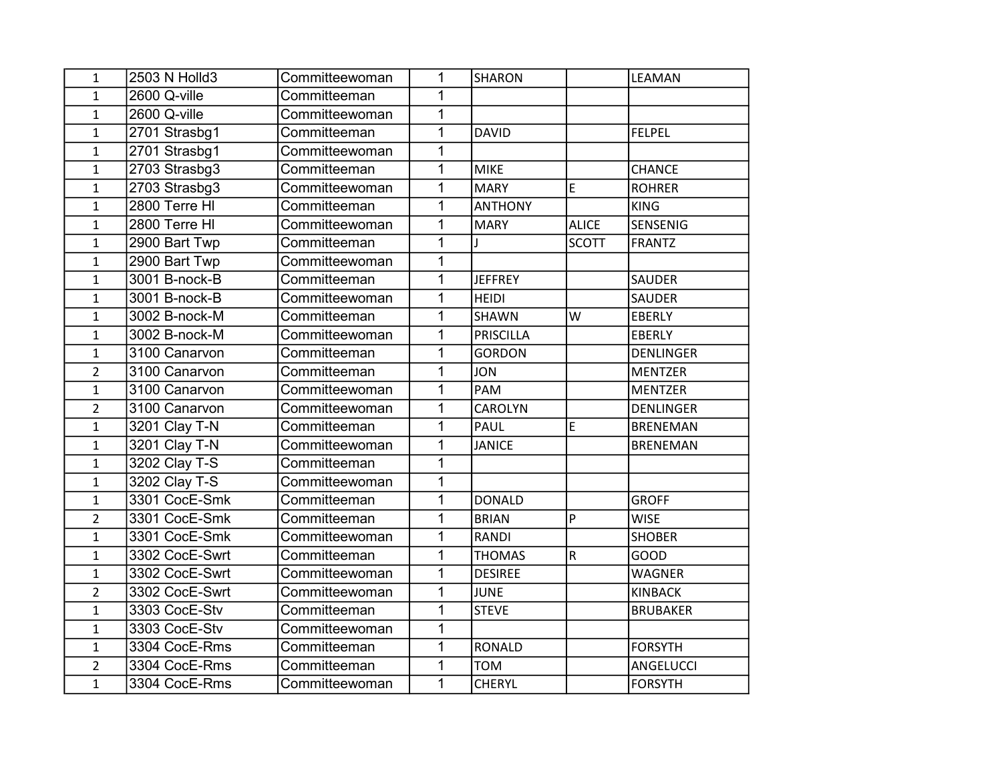| 1              | 2503 N Holld3  | Committeewoman | 1              | <b>SHARON</b>  |                | LEAMAN           |
|----------------|----------------|----------------|----------------|----------------|----------------|------------------|
| $\mathbf{1}$   | 2600 Q-ville   | Committeeman   | 1              |                |                |                  |
| $\mathbf{1}$   | 2600 Q-ville   | Committeewoman | $\mathbf{1}$   |                |                |                  |
| $\mathbf{1}$   | 2701 Strasbg1  | Committeeman   | 1              | <b>DAVID</b>   |                | <b>FELPEL</b>    |
| $\mathbf{1}$   | 2701 Strasbg1  | Committeewoman | 1              |                |                |                  |
| $\mathbf{1}$   | 2703 Strasbg3  | Committeeman   | $\mathbf 1$    | <b>MIKE</b>    |                | <b>CHANCE</b>    |
| $\mathbf{1}$   | 2703 Strasbg3  | Committeewoman | 1              | <b>MARY</b>    | E              | <b>ROHRER</b>    |
| $\mathbf{1}$   | 2800 Terre HI  | Committeeman   | 1              | <b>ANTHONY</b> |                | <b>KING</b>      |
| $\mathbf{1}$   | 2800 Terre HI  | Committeewoman | 1              | <b>MARY</b>    | <b>ALICE</b>   | SENSENIG         |
| $\mathbf{1}$   | 2900 Bart Twp  | Committeeman   | 1              | $\mathbf{I}$   | <b>SCOTT</b>   | <b>FRANTZ</b>    |
| $\mathbf{1}$   | 2900 Bart Twp  | Committeewoman | 1              |                |                |                  |
| $\mathbf{1}$   | 3001 B-nock-B  | Committeeman   | 1              | <b>JEFFREY</b> |                | <b>SAUDER</b>    |
| $\mathbf{1}$   | 3001 B-nock-B  | Committeewoman | 1              | <b>HEIDI</b>   |                | SAUDER           |
| $\mathbf{1}$   | 3002 B-nock-M  | Committeeman   | 1              | <b>SHAWN</b>   | W              | EBERLY           |
| $\mathbf{1}$   | 3002 B-nock-M  | Committeewoman | 1              | PRISCILLA      |                | <b>EBERLY</b>    |
| $\mathbf{1}$   | 3100 Canarvon  | Committeeman   | $\mathbf 1$    | <b>GORDON</b>  |                | <b>DENLINGER</b> |
| $\overline{2}$ | 3100 Canarvon  | Committeeman   | 1              | <b>JON</b>     |                | <b>MENTZER</b>   |
| $\mathbf{1}$   | 3100 Canarvon  | Committeewoman | 1              | PAM            |                | <b>MENTZER</b>   |
| $\overline{2}$ | 3100 Canarvon  | Committeewoman | $\mathbf 1$    | <b>CAROLYN</b> |                | <b>DENLINGER</b> |
| $\mathbf{1}$   | 3201 Clay T-N  | Committeeman   | 1              | <b>PAUL</b>    | E              | <b>BRENEMAN</b>  |
| $\mathbf{1}$   | 3201 Clay T-N  | Committeewoman | $\mathbf 1$    | <b>JANICE</b>  |                | <b>BRENEMAN</b>  |
| $\mathbf{1}$   | 3202 Clay T-S  | Committeeman   | 1              |                |                |                  |
| $\mathbf{1}$   | 3202 Clay T-S  | Committeewoman | $\mathbf{1}$   |                |                |                  |
| $\mathbf{1}$   | 3301 CocE-Smk  | Committeeman   | $\overline{1}$ | <b>DONALD</b>  |                | <b>GROFF</b>     |
| $\overline{2}$ | 3301 CocE-Smk  | Committeeman   | $\overline{1}$ | <b>BRIAN</b>   | $\overline{P}$ | <b>WISE</b>      |
| $\mathbf{1}$   | 3301 CocE-Smk  | Committeewoman | 1              | RANDI          |                | <b>SHOBER</b>    |
| $\mathbf{1}$   | 3302 CocE-Swrt | Committeeman   | 1              | <b>THOMAS</b>  | $\overline{R}$ | <b>GOOD</b>      |
| $\mathbf{1}$   | 3302 CocE-Swrt | Committeewoman | 1              | <b>DESIREE</b> |                | <b>WAGNER</b>    |
| $\overline{2}$ | 3302 CocE-Swrt | Committeewoman | 1              | <b>JUNE</b>    |                | <b>KINBACK</b>   |
| $\mathbf{1}$   | 3303 CocE-Stv  | Committeeman   | $\mathbf 1$    | <b>STEVE</b>   |                | <b>BRUBAKER</b>  |
| $\mathbf{1}$   | 3303 CocE-Stv  | Committeewoman | $\overline{1}$ |                |                |                  |
| $\mathbf{1}$   | 3304 CocE-Rms  | Committeeman   | 1              | <b>RONALD</b>  |                | <b>FORSYTH</b>   |
| $\overline{2}$ | 3304 CocE-Rms  | Committeeman   | 1              | <b>TOM</b>     |                | ANGELUCCI        |
| $\mathbf{1}$   | 3304 CocE-Rms  | Committeewoman | 1              | <b>CHERYL</b>  |                | <b>FORSYTH</b>   |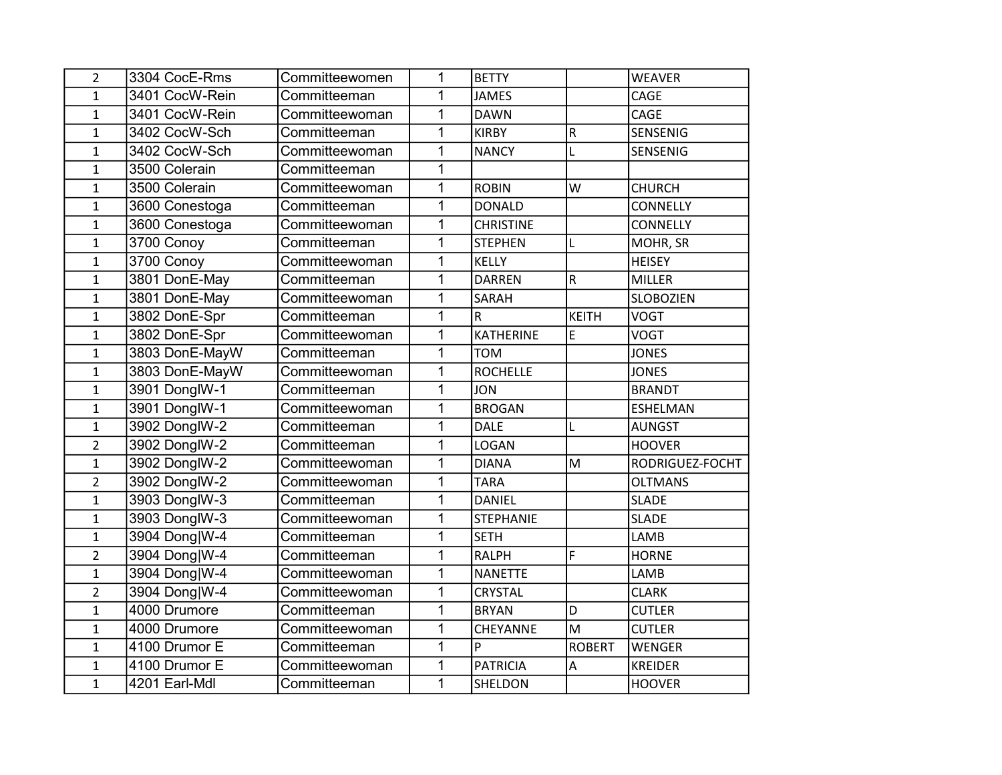| $\overline{2}$ | 3304 CocE-Rms  | Committeewomen | 1              | <b>BETTY</b>     |                         | <b>WEAVER</b>    |
|----------------|----------------|----------------|----------------|------------------|-------------------------|------------------|
| 1              | 3401 CocW-Rein | Committeeman   | 1              | <b>JAMES</b>     |                         | CAGE             |
| $\mathbf{1}$   | 3401 CocW-Rein | Committeewoman | 1              | <b>DAWN</b>      |                         | CAGE             |
| $\mathbf{1}$   | 3402 CocW-Sch  | Committeeman   | 1              | <b>KIRBY</b>     | $\mathsf R$             | SENSENIG         |
| $\mathbf{1}$   | 3402 CocW-Sch  | Committeewoman | 1              | <b>NANCY</b>     | L                       | SENSENIG         |
| $\mathbf{1}$   | 3500 Colerain  | Committeeman   | 1              |                  |                         |                  |
| $\mathbf{1}$   | 3500 Colerain  | Committeewoman | 1              | <b>ROBIN</b>     | W                       | <b>CHURCH</b>    |
| $\mathbf{1}$   | 3600 Conestoga | Committeeman   | 1              | <b>DONALD</b>    |                         | <b>CONNELLY</b>  |
| $\mathbf{1}$   | 3600 Conestoga | Committeewoman | 1              | <b>CHRISTINE</b> |                         | <b>CONNELLY</b>  |
| $\mathbf{1}$   | 3700 Conoy     | Committeeman   | 1              | <b>STEPHEN</b>   | L                       | MOHR, SR         |
| $\mathbf{1}$   | 3700 Conoy     | Committeewoman | 1              | <b>KELLY</b>     |                         | <b>HEISEY</b>    |
| $\mathbf{1}$   | 3801 DonE-May  | Committeeman   | 1              | <b>DARREN</b>    | $\overline{\mathsf{R}}$ | MILLER           |
| $\mathbf{1}$   | 3801 DonE-May  | Committeewoman | 1              | <b>SARAH</b>     |                         | <b>SLOBOZIEN</b> |
| $\mathbf{1}$   | 3802 DonE-Spr  | Committeeman   | $\overline{1}$ | R.               | <b>KEITH</b>            | <b>VOGT</b>      |
| $\mathbf{1}$   | 3802 DonE-Spr  | Committeewoman | 1              | <b>KATHERINE</b> | E                       | <b>VOGT</b>      |
| $\mathbf{1}$   | 3803 DonE-MayW | Committeeman   | 1              | <b>TOM</b>       |                         | <b>JONES</b>     |
| $\mathbf{1}$   | 3803 DonE-MayW | Committeewoman | 1              | <b>ROCHELLE</b>  |                         | <b>JONES</b>     |
| $\mathbf{1}$   | 3901 DonglW-1  | Committeeman   | $\overline{1}$ | <b>JON</b>       |                         | <b>BRANDT</b>    |
| $\mathbf{1}$   | 3901 DonglW-1  | Committeewoman | $\mathbf 1$    | <b>BROGAN</b>    |                         | <b>ESHELMAN</b>  |
| $\mathbf{1}$   | 3902 DonglW-2  | Committeeman   | $\mathbf 1$    | <b>DALE</b>      | L                       | <b>AUNGST</b>    |
| $\overline{2}$ | 3902 DonglW-2  | Committeeman   | $\mathbf 1$    | <b>LOGAN</b>     |                         | <b>HOOVER</b>    |
| $\mathbf{1}$   | 3902 DonglW-2  | Committeewoman | 1              | <b>DIANA</b>     | M                       | RODRIGUEZ-FOCHT  |
| $\overline{2}$ | 3902 DonglW-2  | Committeewoman | 1              | <b>TARA</b>      |                         | <b>OLTMANS</b>   |
| $\mathbf{1}$   | 3903 DonglW-3  | Committeeman   | $\overline{1}$ | <b>DANIEL</b>    |                         | <b>SLADE</b>     |
| $\mathbf{1}$   | 3903 DonglW-3  | Committeewoman | $\mathbf 1$    | <b>STEPHANIE</b> |                         | <b>SLADE</b>     |
| $\mathbf{1}$   | 3904 Dong W-4  | Committeeman   | 1              | <b>SETH</b>      |                         | LAMB             |
| $\overline{2}$ | 3904 Dong W-4  | Committeeman   | 1              | RALPH            | F                       | <b>HORNE</b>     |
| $\mathbf{1}$   | 3904 Dong W-4  | Committeewoman | 1              | <b>NANETTE</b>   |                         | LAMB             |
| $\overline{2}$ | 3904 Dong W-4  | Committeewoman | 1              | <b>CRYSTAL</b>   |                         | <b>CLARK</b>     |
| $\mathbf{1}$   | 4000 Drumore   | Committeeman   | $\mathbf 1$    | <b>BRYAN</b>     | D                       | <b>CUTLER</b>    |
| $\mathbf{1}$   | 4000 Drumore   | Committeewoman | $\overline{1}$ | CHEYANNE         | M                       | <b>CUTLER</b>    |
| $\mathbf{1}$   | 4100 Drumor E  | Committeeman   | $\overline{1}$ | P                | <b>ROBERT</b>           | <b>WENGER</b>    |
| 1              | 4100 Drumor E  | Committeewoman | 1              | <b>PATRICIA</b>  | A                       | <b>KREIDER</b>   |
| $\mathbf{1}$   | 4201 Earl-Mdl  | Committeeman   | $\mathbf 1$    | SHELDON          |                         | <b>HOOVER</b>    |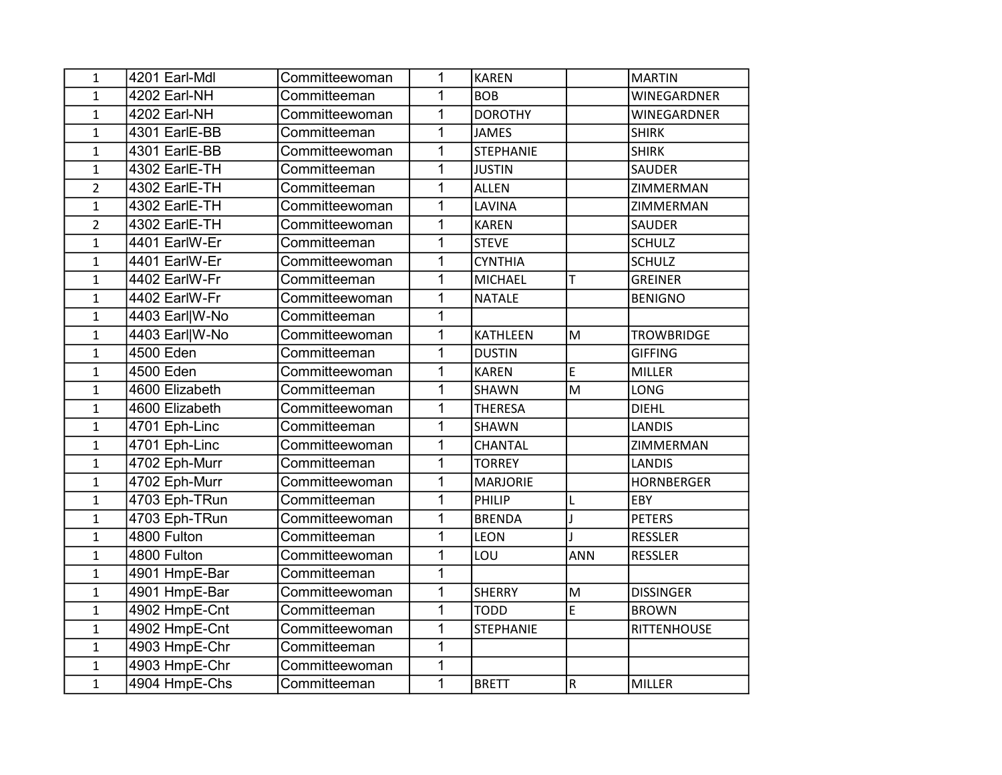| $\mathbf{1}$   | 4201 Earl-Mdl  | Committeewoman | 1            | <b>KAREN</b>     |            | MARTIN             |
|----------------|----------------|----------------|--------------|------------------|------------|--------------------|
| $\mathbf{1}$   | 4202 Earl-NH   | Committeeman   | 1            | <b>BOB</b>       |            | WINEGARDNER        |
| $\mathbf{1}$   | 4202 Earl-NH   | Committeewoman | 1            | <b>DOROTHY</b>   |            | <b>WINEGARDNER</b> |
| $\mathbf{1}$   | 4301 EarlE-BB  | Committeeman   | 1            | <b>JAMES</b>     |            | <b>SHIRK</b>       |
| $\mathbf{1}$   | 4301 EarlE-BB  | Committeewoman | 1            | <b>STEPHANIE</b> |            | <b>SHIRK</b>       |
| $\mathbf{1}$   | 4302 EarlE-TH  | Committeeman   | 1            | <b>JUSTIN</b>    |            | <b>SAUDER</b>      |
| $\overline{2}$ | 4302 EarlE-TH  | Committeeman   | 1            | <b>ALLEN</b>     |            | ZIMMERMAN          |
| $\mathbf{1}$   | 4302 EarlE-TH  | Committeewoman | 1            | LAVINA           |            | ZIMMERMAN          |
| $\overline{2}$ | 4302 EarlE-TH  | Committeewoman | 1            | <b>KAREN</b>     |            | <b>SAUDER</b>      |
| $\mathbf{1}$   | 4401 EarlW-Er  | Committeeman   | 1            | <b>STEVE</b>     |            | <b>SCHULZ</b>      |
| $\mathbf{1}$   | 4401 EarlW-Er  | Committeewoman | 1            | <b>CYNTHIA</b>   |            | <b>SCHULZ</b>      |
| $\mathbf{1}$   | 4402 EarlW-Fr  | Committeeman   | 1            | <b>MICHAEL</b>   | T          | <b>GREINER</b>     |
| $\mathbf{1}$   | 4402 EarlW-Fr  | Committeewoman | 1            | <b>NATALE</b>    |            | <b>BENIGNO</b>     |
| $\mathbf{1}$   | 4403 Earl W-No | Committeeman   | 1            |                  |            |                    |
| $\mathbf{1}$   | 4403 Earl W-No | Committeewoman | 1            | KATHLEEN         | M          | <b>TROWBRIDGE</b>  |
| $\mathbf{1}$   | 4500 Eden      | Committeeman   | 1            | <b>DUSTIN</b>    |            | <b>GIFFING</b>     |
| $\mathbf{1}$   | 4500 Eden      | Committeewoman | 1            | <b>KAREN</b>     | E          | <b>MILLER</b>      |
| $\mathbf{1}$   | 4600 Elizabeth | Committeeman   | 1            | <b>SHAWN</b>     | M          | <b>LONG</b>        |
| $\mathbf{1}$   | 4600 Elizabeth | Committeewoman | 1            | <b>THERESA</b>   |            | <b>DIEHL</b>       |
| $\mathbf{1}$   | 4701 Eph-Linc  | Committeeman   | 1            | SHAWN            |            | <b>LANDIS</b>      |
| $\mathbf{1}$   | 4701 Eph-Linc  | Committeewoman | 1            | CHANTAL          |            | ZIMMERMAN          |
| $\mathbf{1}$   | 4702 Eph-Murr  | Committeeman   | 1            | <b>TORREY</b>    |            | <b>LANDIS</b>      |
| $\mathbf{1}$   | 4702 Eph-Murr  | Committeewoman | 1            | <b>MARJORIE</b>  |            | <b>HORNBERGER</b>  |
| $\mathbf{1}$   | 4703 Eph-TRun  | Committeeman   | 1            | PHILIP           | L          | EBY                |
| $\mathbf{1}$   | 4703 Eph-TRun  | Committeewoman | 1            | <b>BRENDA</b>    | J          | <b>PETERS</b>      |
| $\mathbf{1}$   | 4800 Fulton    | Committeeman   | 1            | <b>LEON</b>      |            | <b>RESSLER</b>     |
| $\mathbf{1}$   | 4800 Fulton    | Committeewoman | 1            | LOU              | <b>ANN</b> | <b>RESSLER</b>     |
| $\mathbf{1}$   | 4901 HmpE-Bar  | Committeeman   | $\mathbf{1}$ |                  |            |                    |
| $\mathbf{1}$   | 4901 HmpE-Bar  | Committeewoman | 1            | <b>SHERRY</b>    | M          | <b>DISSINGER</b>   |
| $\mathbf{1}$   | 4902 HmpE-Cnt  | Committeeman   | 1            | <b>TODD</b>      | E          | <b>BROWN</b>       |
| $\mathbf{1}$   | 4902 HmpE-Cnt  | Committeewoman | 1            | <b>STEPHANIE</b> |            | RITTENHOUSE        |
| $\mathbf{1}$   | 4903 HmpE-Chr  | Committeeman   | 1            |                  |            |                    |
| $\mathbf{1}$   | 4903 HmpE-Chr  | Committeewoman | 1            |                  |            |                    |
| $\mathbf{1}$   | 4904 HmpE-Chs  | Committeeman   | 1            | <b>BRETT</b>     | ${\sf R}$  | MILLER             |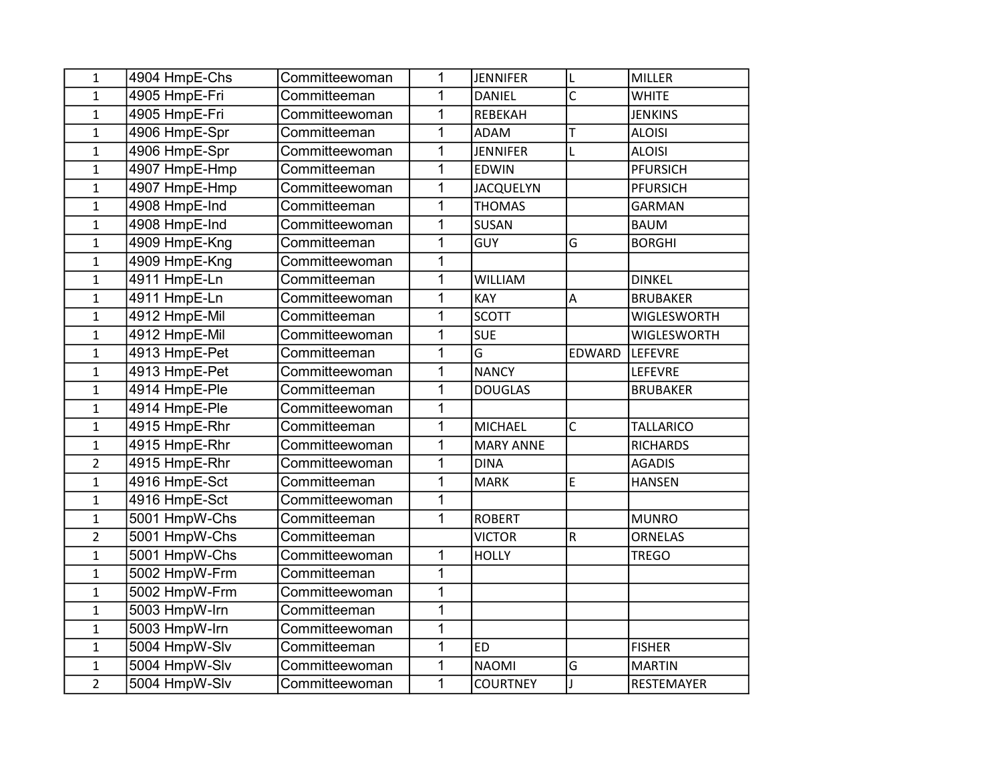| 1              | 4904 HmpE-Chs | Committeewoman | 1              | <b>JENNIFER</b>  | L              | MILLER            |
|----------------|---------------|----------------|----------------|------------------|----------------|-------------------|
| $\mathbf{1}$   | 4905 HmpE-Fri | Committeeman   | $\mathbf{1}$   | <b>DANIEL</b>    | C              | <b>WHITE</b>      |
| $\mathbf{1}$   | 4905 HmpE-Fri | Committeewoman | $\mathbf{1}$   | REBEKAH          |                | <b>JENKINS</b>    |
| $\mathbf{1}$   | 4906 HmpE-Spr | Committeeman   | $\overline{1}$ | <b>ADAM</b>      | T              | <b>ALOISI</b>     |
| $\mathbf 1$    | 4906 HmpE-Spr | Committeewoman | 1              | <b>JENNIFER</b>  | L              | <b>ALOISI</b>     |
| $\mathbf{1}$   | 4907 HmpE-Hmp | Committeeman   | $\mathbf 1$    | <b>EDWIN</b>     |                | <b>PFURSICH</b>   |
| $\mathbf{1}$   | 4907 HmpE-Hmp | Committeewoman | 1              | <b>JACQUELYN</b> |                | <b>PFURSICH</b>   |
| $\mathbf{1}$   | 4908 HmpE-Ind | Committeeman   | $\mathbf 1$    | <b>THOMAS</b>    |                | <b>GARMAN</b>     |
| $\mathbf{1}$   | 4908 HmpE-Ind | Committeewoman | $\mathbf{1}$   | SUSAN            |                | <b>BAUM</b>       |
| $\mathbf{1}$   | 4909 HmpE-Kng | Committeeman   | $\mathbf 1$    | <b>GUY</b>       | G              | <b>BORGHI</b>     |
| $\mathbf 1$    | 4909 HmpE-Kng | Committeewoman | $\mathbf 1$    |                  |                |                   |
| $\mathbf{1}$   | 4911 HmpE-Ln  | Committeeman   | $\overline{1}$ | <b>WILLIAM</b>   |                | <b>DINKEL</b>     |
| $\mathbf{1}$   | 4911 HmpE-Ln  | Committeewoman | $\mathbf{1}$   | KAY              | $\overline{A}$ | <b>BRUBAKER</b>   |
| $\mathbf{1}$   | 4912 HmpE-Mil | Committeeman   | $\mathbf{1}$   | <b>SCOTT</b>     |                | WIGLESWORTH       |
| $\mathbf{1}$   | 4912 HmpE-Mil | Committeewoman | $\mathbf{1}$   | <b>SUE</b>       |                | WIGLESWORTH       |
| $\mathbf 1$    | 4913 HmpE-Pet | Committeeman   | 1              | G                | EDWARD         | <b>LEFEVRE</b>    |
| $\mathbf 1$    | 4913 HmpE-Pet | Committeewoman | $\mathbf{1}$   | <b>NANCY</b>     |                | LEFEVRE           |
| $\mathbf{1}$   | 4914 HmpE-Ple | Committeeman   | $\mathbf{1}$   | <b>DOUGLAS</b>   |                | <b>BRUBAKER</b>   |
| $\mathbf{1}$   | 4914 HmpE-Ple | Committeewoman | $\mathbf{1}$   |                  |                |                   |
| $\mathbf{1}$   | 4915 HmpE-Rhr | Committeeman   | $\mathbf{1}$   | <b>MICHAEL</b>   | $\overline{C}$ | <b>TALLARICO</b>  |
| $\mathbf{1}$   | 4915 HmpE-Rhr | Committeewoman | $\mathbf 1$    | <b>MARY ANNE</b> |                | <b>RICHARDS</b>   |
| $\overline{2}$ | 4915 HmpE-Rhr | Committeewoman | 1              | <b>DINA</b>      |                | <b>AGADIS</b>     |
| $\mathbf{1}$   | 4916 HmpE-Sct | Committeeman   | $\overline{1}$ | <b>MARK</b>      | E              | <b>HANSEN</b>     |
| $\mathbf{1}$   | 4916 HmpE-Sct | Committeewoman | $\overline{1}$ |                  |                |                   |
| $\mathbf{1}$   | 5001 HmpW-Chs | Committeeman   | $\mathbf{1}$   | <b>ROBERT</b>    |                | <b>MUNRO</b>      |
| $\overline{2}$ | 5001 HmpW-Chs | Committeeman   |                | <b>VICTOR</b>    | $\mathsf R$    | <b>ORNELAS</b>    |
| $\mathbf{1}$   | 5001 HmpW-Chs | Committeewoman | 1              | <b>HOLLY</b>     |                | <b>TREGO</b>      |
| $\mathbf{1}$   | 5002 HmpW-Frm | Committeeman   | $\mathbf{1}$   |                  |                |                   |
| $\mathbf{1}$   | 5002 HmpW-Frm | Committeewoman | $\mathbf{1}$   |                  |                |                   |
| $\mathbf{1}$   | 5003 HmpW-Irn | Committeeman   | $\mathbf{1}$   |                  |                |                   |
| $\mathbf 1$    | 5003 HmpW-Irn | Committeewoman | $\overline{1}$ |                  |                |                   |
| $\mathbf{1}$   | 5004 HmpW-Slv | Committeeman   | $\mathbf{1}$   | <b>ED</b>        |                | <b>FISHER</b>     |
| $\mathbf 1$    | 5004 HmpW-Slv | Committeewoman | $\mathbf{1}$   | <b>NAOMI</b>     | G              | <b>MARTIN</b>     |
| $\overline{2}$ | 5004 HmpW-Slv | Committeewoman | $\overline{1}$ | <b>COURTNEY</b>  | $\mathsf{J}$   | <b>RESTEMAYER</b> |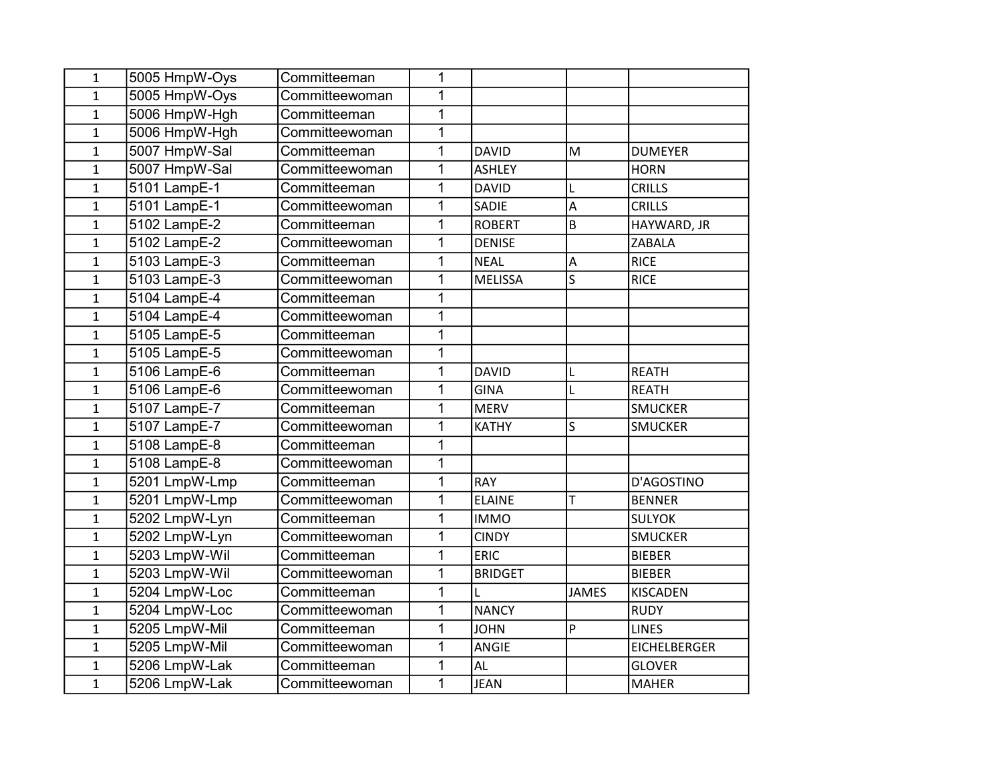| $\mathbf{1}$ | 5005 HmpW-Oys             | Committeeman   | 1              |                |                           |                     |
|--------------|---------------------------|----------------|----------------|----------------|---------------------------|---------------------|
| $\mathbf{1}$ | 5005 HmpW-Oys             | Committeewoman | 1              |                |                           |                     |
| $\mathbf{1}$ | 5006 HmpW-Hgh             | Committeeman   | 1              |                |                           |                     |
| $\mathbf{1}$ | 5006 HmpW-Hgh             | Committeewoman | $\overline{1}$ |                |                           |                     |
| $\mathbf{1}$ | 5007 HmpW-Sal             | Committeeman   | $\mathbf 1$    | <b>DAVID</b>   | M                         | <b>DUMEYER</b>      |
| $\mathbf{1}$ | 5007 HmpW-Sal             | Committeewoman | 1              | <b>ASHLEY</b>  |                           | <b>HORN</b>         |
| $\mathbf{1}$ | 5101 LampE-1              | Committeeman   | 1              | <b>DAVID</b>   | L                         | <b>CRILLS</b>       |
| $\mathbf{1}$ | 5101 LampE-1              | Committeewoman | $\mathbf 1$    | SADIE          | A                         | <b>CRILLS</b>       |
| $\mathbf{1}$ | 5102 LampE-2              | Committeeman   | $\overline{1}$ | <b>ROBERT</b>  | B                         | HAYWARD, JR         |
| $\mathbf{1}$ | 5102 LampE-2              | Committeewoman | 1              | <b>DENISE</b>  |                           | <b>ZABALA</b>       |
| $\mathbf{1}$ | 5103 LampE-3              | Committeeman   | $\overline{1}$ | <b>NEAL</b>    | $\boldsymbol{\mathsf{A}}$ | <b>RICE</b>         |
| $\mathbf{1}$ | 5103 LampE-3              | Committeewoman | 1              | <b>MELISSA</b> | S                         | <b>RICE</b>         |
| $\mathbf{1}$ | 5104 LampE-4              | Committeeman   | 1              |                |                           |                     |
| $\mathbf{1}$ | $\overline{5104}$ LampE-4 | Committeewoman | $\mathbf 1$    |                |                           |                     |
| $\mathbf{1}$ | 5105 LampE-5              | Committeeman   | $\mathbf 1$    |                |                           |                     |
| $\mathbf{1}$ | 5105 LampE-5              | Committeewoman | $\mathbf 1$    |                |                           |                     |
| $\mathbf{1}$ | 5106 LampE-6              | Committeeman   | $\mathbf 1$    | <b>DAVID</b>   | L                         | <b>REATH</b>        |
| $\mathbf{1}$ | 5106 LampE-6              | Committeewoman | 1              | <b>GINA</b>    | L                         | <b>REATH</b>        |
| $\mathbf{1}$ | 5107 LampE-7              | Committeeman   | $\mathbf 1$    | <b>MERV</b>    |                           | <b>SMUCKER</b>      |
| $\mathbf{1}$ | 5107 LampE-7              | Committeewoman | $\mathbf 1$    | <b>KATHY</b>   | S                         | <b>SMUCKER</b>      |
| $\mathbf{1}$ | 5108 LampE-8              | Committeeman   | $\overline{1}$ |                |                           |                     |
| $\mathbf{1}$ | 5108 LampE-8              | Committeewoman | $\mathbf 1$    |                |                           |                     |
| $\mathbf{1}$ | 5201 LmpW-Lmp             | Committeeman   | 1              | <b>RAY</b>     |                           | D'AGOSTINO          |
| $\mathbf{1}$ | 5201 LmpW-Lmp             | Committeewoman | $\mathbf 1$    | <b>ELAINE</b>  | T                         | <b>BENNER</b>       |
| $\mathbf{1}$ | 5202 LmpW-Lyn             | Committeeman   | $\mathbf 1$    | <b>IMMO</b>    |                           | <b>SULYOK</b>       |
| $\mathbf{1}$ | 5202 LmpW-Lyn             | Committeewoman | $\overline{1}$ | <b>CINDY</b>   |                           | <b>SMUCKER</b>      |
| $\mathbf{1}$ | 5203 LmpW-Wil             | Committeeman   | $\mathbf 1$    | <b>ERIC</b>    |                           | <b>BIEBER</b>       |
| $\mathbf{1}$ | 5203 LmpW-Wil             | Committeewoman | 1              | <b>BRIDGET</b> |                           | <b>BIEBER</b>       |
| $\mathbf{1}$ | 5204 LmpW-Loc             | Committeeman   | $\mathbf 1$    | L              | <b>JAMES</b>              | <b>KISCADEN</b>     |
| $\mathbf{1}$ | 5204 LmpW-Loc             | Committeewoman | 1              | <b>NANCY</b>   |                           | <b>RUDY</b>         |
| $\mathbf{1}$ | 5205 LmpW-Mil             | Committeeman   | $\overline{1}$ | <b>JOHN</b>    | $\overline{P}$            | <b>LINES</b>        |
| $\mathbf{1}$ | 5205 LmpW-Mil             | Committeewoman | $\mathbf 1$    | ANGIE          |                           | <b>EICHELBERGER</b> |
| $\mathbf{1}$ | 5206 LmpW-Lak             | Committeeman   | 1              | AL             |                           | <b>GLOVER</b>       |
| $\mathbf{1}$ | 5206 LmpW-Lak             | Committeewoman | $\overline{1}$ | <b>JEAN</b>    |                           | <b>MAHER</b>        |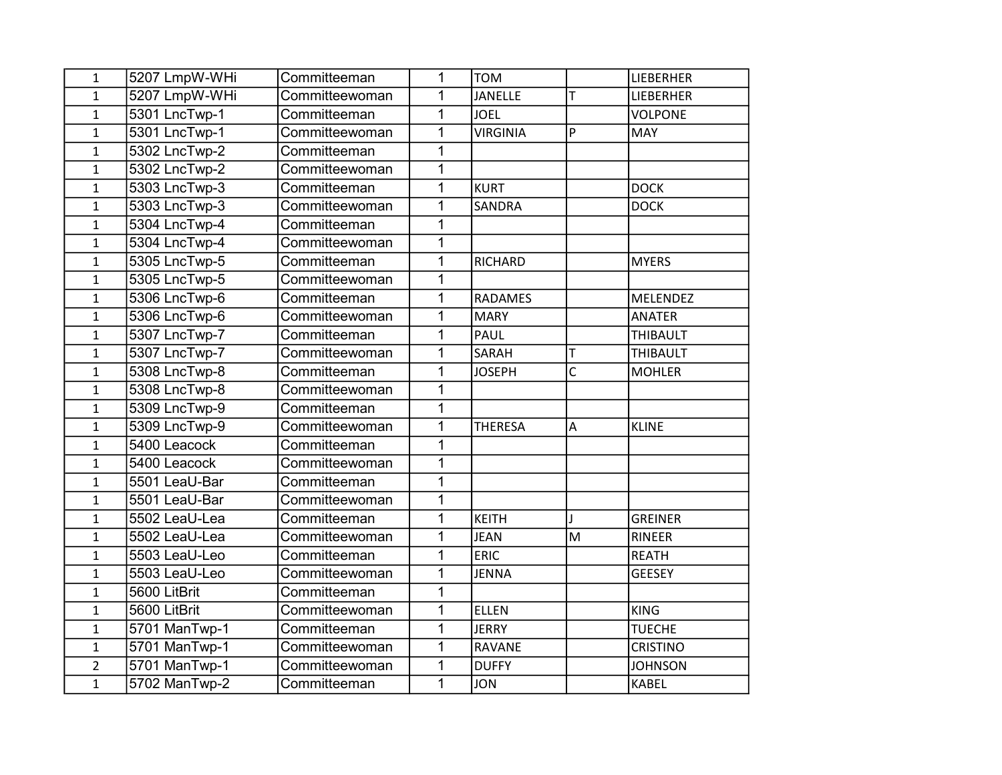| $\mathbf{1}$   | 5207 LmpW-WHi | Committeeman   | $\overline{1}$ | <b>TOM</b>      |                | LIEBERHER       |
|----------------|---------------|----------------|----------------|-----------------|----------------|-----------------|
| $\mathbf{1}$   | 5207 LmpW-WHi | Committeewoman | $\mathbf{1}$   | JANELLE         | T              | LIEBERHER       |
| $\mathbf{1}$   | 5301 LncTwp-1 | Committeeman   | $\mathbf{1}$   | <b>JOEL</b>     |                | <b>VOLPONE</b>  |
| $\mathbf{1}$   | 5301 LncTwp-1 | Committeewoman | $\mathbf{1}$   | <b>VIRGINIA</b> | $\overline{P}$ | MAY             |
| $\mathbf{1}$   | 5302 LncTwp-2 | Committeeman   | $\mathbf 1$    |                 |                |                 |
| $\mathbf 1$    | 5302 LncTwp-2 | Committeewoman | $\overline{1}$ |                 |                |                 |
| $\mathbf{1}$   | 5303 LncTwp-3 | Committeeman   | $\mathbf{1}$   | <b>KURT</b>     |                | <b>DOCK</b>     |
| $\mathbf 1$    | 5303 LncTwp-3 | Committeewoman | $\mathbf 1$    | <b>SANDRA</b>   |                | <b>DOCK</b>     |
| $\mathbf 1$    | 5304 LncTwp-4 | Committeeman   | $\overline{1}$ |                 |                |                 |
| $\mathbf{1}$   | 5304 LncTwp-4 | Committeewoman | $\mathbf{1}$   |                 |                |                 |
| $\mathbf 1$    | 5305 LncTwp-5 | Committeeman   | $\mathbf 1$    | RICHARD         |                | <b>MYERS</b>    |
| $\mathbf{1}$   | 5305 LncTwp-5 | Committeewoman | $\mathbf{1}$   |                 |                |                 |
| $\mathbf 1$    | 5306 LncTwp-6 | Committeeman   | $\mathbf{1}$   | <b>RADAMES</b>  |                | <b>MELENDEZ</b> |
| $\mathbf{1}$   | 5306 LncTwp-6 | Committeewoman | $\overline{1}$ | <b>MARY</b>     |                | <b>ANATER</b>   |
| $\mathbf{1}$   | 5307 LncTwp-7 | Committeeman   | $\overline{1}$ | PAUL            |                | <b>THIBAULT</b> |
| $\mathbf 1$    | 5307 LncTwp-7 | Committeewoman | $\mathbf 1$    | SARAH           | T              | THIBAULT        |
| $\mathbf 1$    | 5308 LncTwp-8 | Committeeman   | $\overline{1}$ | <b>JOSEPH</b>   | $\overline{C}$ | <b>MOHLER</b>   |
| $\mathbf{1}$   | 5308 LncTwp-8 | Committeewoman | $\mathbf{1}$   |                 |                |                 |
| $\mathbf{1}$   | 5309 LncTwp-9 | Committeeman   | $\mathbf{1}$   |                 |                |                 |
| $\mathbf{1}$   | 5309 LncTwp-9 | Committeewoman | $\overline{1}$ | <b>THERESA</b>  | $\overline{A}$ | <b>KLINE</b>    |
| $\mathbf{1}$   | 5400 Leacock  | Committeeman   | $\overline{1}$ |                 |                |                 |
| $\mathbf 1$    | 5400 Leacock  | Committeewoman | $\mathbf{1}$   |                 |                |                 |
| 1              | 5501 LeaU-Bar | Committeeman   | $\mathbf{1}$   |                 |                |                 |
| $\mathbf{1}$   | 5501 LeaU-Bar | Committeewoman | $\overline{1}$ |                 |                |                 |
| $\mathbf{1}$   | 5502 LeaU-Lea | Committeeman   | $\mathbf{1}$   | <b>KEITH</b>    |                | <b>GREINER</b>  |
| $\mathbf{1}$   | 5502 LeaU-Lea | Committeewoman | $\overline{1}$ | <b>JEAN</b>     | M              | <b>RINEER</b>   |
| $\mathbf 1$    | 5503 LeaU-Leo | Committeeman   | $\mathbf 1$    | <b>ERIC</b>     |                | <b>REATH</b>    |
| $\mathbf{1}$   | 5503 LeaU-Leo | Committeewoman | 1              | <b>JENNA</b>    |                | <b>GEESEY</b>   |
| $\mathbf{1}$   | 5600 LitBrit  | Committeeman   | $\mathbf{1}$   |                 |                |                 |
| $\mathbf{1}$   | 5600 LitBrit  | Committeewoman | $\mathbf{1}$   | <b>ELLEN</b>    |                | <b>KING</b>     |
| $\mathbf{1}$   | 5701 ManTwp-1 | Committeeman   | $\overline{1}$ | <b>JERRY</b>    |                | <b>TUECHE</b>   |
| $\mathbf 1$    | 5701 ManTwp-1 | Committeewoman | $\mathbf 1$    | <b>RAVANE</b>   |                | <b>CRISTINO</b> |
| $\overline{2}$ | 5701 ManTwp-1 | Committeewoman | 1              | <b>DUFFY</b>    |                | <b>JOHNSON</b>  |
| $\mathbf{1}$   | 5702 ManTwp-2 | Committeeman   | $\mathbf{1}$   | <b>JON</b>      |                | <b>KABEL</b>    |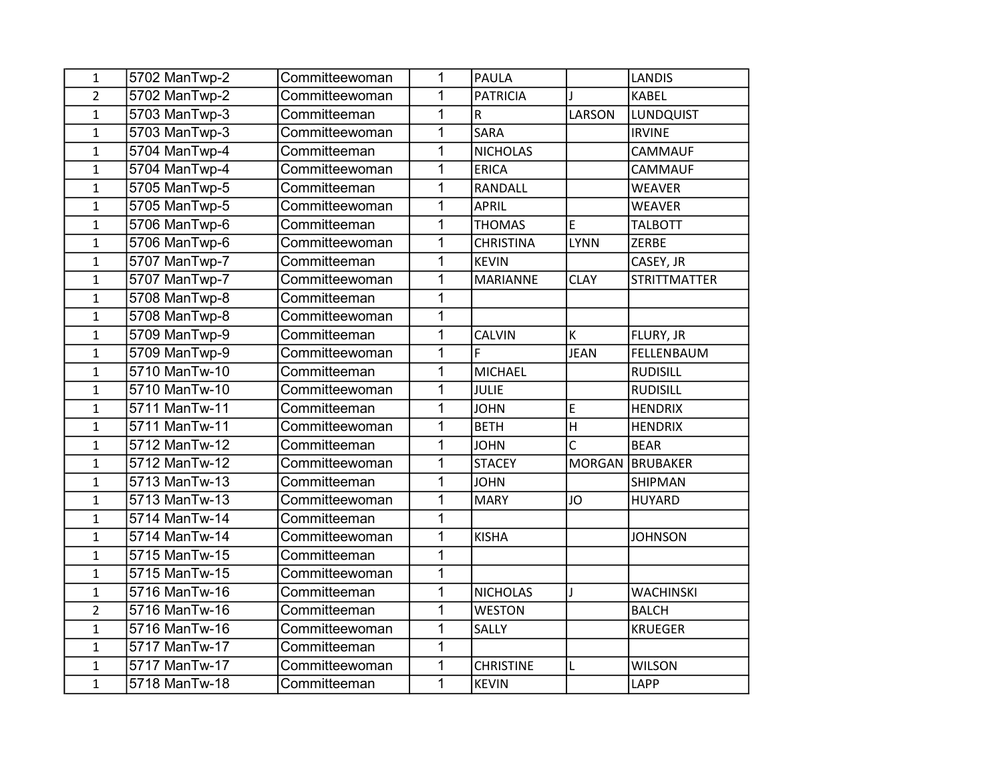| $\mathbf{1}$   | 5702 ManTwp-2 | Committeewoman | 1              | <b>PAULA</b>     |                | <b>LANDIS</b>       |
|----------------|---------------|----------------|----------------|------------------|----------------|---------------------|
| $\overline{2}$ | 5702 ManTwp-2 | Committeewoman | 1              | <b>PATRICIA</b>  |                | <b>KABEL</b>        |
| $\mathbf{1}$   | 5703 ManTwp-3 | Committeeman   | $\overline{1}$ | R                | LARSON         | <b>LUNDQUIST</b>    |
| $\mathbf{1}$   | 5703 ManTwp-3 | Committeewoman | 1              | <b>SARA</b>      |                | <b>IRVINE</b>       |
| $\mathbf{1}$   | 5704 ManTwp-4 | Committeeman   | 1              | <b>NICHOLAS</b>  |                | <b>CAMMAUF</b>      |
| $\mathbf 1$    | 5704 ManTwp-4 | Committeewoman | 1              | <b>ERICA</b>     |                | <b>CAMMAUF</b>      |
| $\mathbf{1}$   | 5705 ManTwp-5 | Committeeman   | 1              | RANDALL          |                | <b>WEAVER</b>       |
| $\mathbf{1}$   | 5705 ManTwp-5 | Committeewoman | $\overline{1}$ | <b>APRIL</b>     |                | <b>WEAVER</b>       |
| $\mathbf{1}$   | 5706 ManTwp-6 | Committeeman   | 1              | <b>THOMAS</b>    | E              | <b>TALBOTT</b>      |
| $\mathbf{1}$   | 5706 ManTwp-6 | Committeewoman | 1              | <b>CHRISTINA</b> | <b>LYNN</b>    | ZERBE               |
| $\mathbf{1}$   | 5707 ManTwp-7 | Committeeman   | 1              | <b>KEVIN</b>     |                | CASEY, JR           |
| $\mathbf{1}$   | 5707 ManTwp-7 | Committeewoman | 1              | <b>MARIANNE</b>  | <b>CLAY</b>    | <b>STRITTMATTER</b> |
| $\mathbf{1}$   | 5708 ManTwp-8 | Committeeman   | 1              |                  |                |                     |
| $\mathbf{1}$   | 5708 ManTwp-8 | Committeewoman | 1              |                  |                |                     |
| $\mathbf{1}$   | 5709 ManTwp-9 | Committeeman   | 1              | <b>CALVIN</b>    | K              | FLURY, JR           |
| $\mathbf{1}$   | 5709 ManTwp-9 | Committeewoman | 1              | F                | <b>JEAN</b>    | FELLENBAUM          |
| $\mathbf{1}$   | 5710 ManTw-10 | Committeeman   | 1              | <b>MICHAEL</b>   |                | <b>RUDISILL</b>     |
| $\mathbf{1}$   | 5710 ManTw-10 | Committeewoman | 1              | <b>JULIE</b>     |                | <b>RUDISILL</b>     |
| $\mathbf{1}$   | 5711 ManTw-11 | Committeeman   | 1              | <b>JOHN</b>      | E              | <b>HENDRIX</b>      |
| $\mathbf{1}$   | 5711 ManTw-11 | Committeewoman | 1              | <b>BETH</b>      | $\overline{H}$ | <b>HENDRIX</b>      |
| $\mathbf{1}$   | 5712 ManTw-12 | Committeeman   | 1              | <b>JOHN</b>      | C              | <b>BEAR</b>         |
| $\mathbf{1}$   | 5712 ManTw-12 | Committeewoman | 1              | <b>STACEY</b>    | <b>MORGAN</b>  | <b>BRUBAKER</b>     |
| $\mathbf{1}$   | 5713 ManTw-13 | Committeeman   | 1              | <b>JOHN</b>      |                | <b>SHIPMAN</b>      |
| $\mathbf{1}$   | 5713 ManTw-13 | Committeewoman | $\overline{1}$ | <b>MARY</b>      | JO             | <b>HUYARD</b>       |
| $\mathbf{1}$   | 5714 ManTw-14 | Committeeman   | 1              |                  |                |                     |
| $\mathbf{1}$   | 5714 ManTw-14 | Committeewoman | 1              | <b>KISHA</b>     |                | <b>JOHNSON</b>      |
| 1              | 5715 ManTw-15 | Committeeman   | 1              |                  |                |                     |
| $\mathbf{1}$   | 5715 ManTw-15 | Committeewoman | 1              |                  |                |                     |
| $\mathbf{1}$   | 5716 ManTw-16 | Committeeman   | 1              | <b>NICHOLAS</b>  | $\mathbf{I}$   | <b>WACHINSKI</b>    |
| $\overline{2}$ | 5716 ManTw-16 | Committeeman   | 1              | <b>WESTON</b>    |                | <b>BALCH</b>        |
| $\mathbf{1}$   | 5716 ManTw-16 | Committeewoman | $\overline{1}$ | SALLY            |                | <b>KRUEGER</b>      |
| $\mathbf{1}$   | 5717 ManTw-17 | Committeeman   | 1              |                  |                |                     |
| $\mathbf{1}$   | 5717 ManTw-17 | Committeewoman | 1              | <b>CHRISTINE</b> | Г              | <b>WILSON</b>       |
| $\mathbf{1}$   | 5718 ManTw-18 | Committeeman   | 1              | <b>KEVIN</b>     |                | LAPP                |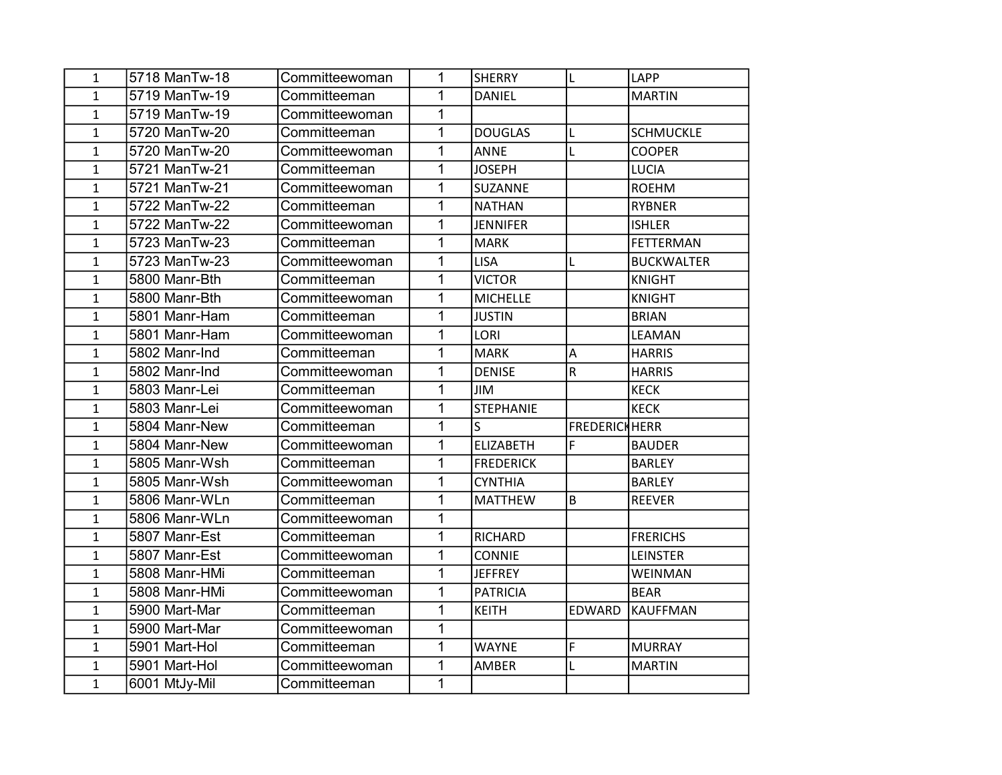| 1            | 5718 ManTw-18 | Committeewoman | 1            | <b>SHERRY</b>           | L                       | LAPP              |
|--------------|---------------|----------------|--------------|-------------------------|-------------------------|-------------------|
| $\mathbf{1}$ | 5719 ManTw-19 | Committeeman   | 1            | <b>DANIEL</b>           |                         | MARTIN            |
| $\mathbf{1}$ | 5719 ManTw-19 | Committeewoman | 1            |                         |                         |                   |
| $\mathbf{1}$ | 5720 ManTw-20 | Committeeman   | 1            | <b>DOUGLAS</b>          | L                       | <b>SCHMUCKLE</b>  |
| $\mathbf{1}$ | 5720 ManTw-20 | Committeewoman | 1            | <b>ANNE</b>             | L                       | <b>COOPER</b>     |
| $\mathbf{1}$ | 5721 ManTw-21 | Committeeman   | 1            | <b>JOSEPH</b>           |                         | <b>LUCIA</b>      |
| $\mathbf{1}$ | 5721 ManTw-21 | Committeewoman | $\mathbf 1$  | SUZANNE                 |                         | ROEHM             |
| $\mathbf{1}$ | 5722 ManTw-22 | Committeeman   | $\mathbf 1$  | <b>NATHAN</b>           |                         | <b>RYBNER</b>     |
| $\mathbf{1}$ | 5722 ManTw-22 | Committeewoman | $\mathbf 1$  | <b>JENNIFER</b>         |                         | <b>ISHLER</b>     |
| $\mathbf{1}$ | 5723 ManTw-23 | Committeeman   | 1            | <b>MARK</b>             |                         | FETTERMAN         |
| $\mathbf{1}$ | 5723 ManTw-23 | Committeewoman | 1            | <b>LISA</b>             | L                       | <b>BUCKWALTER</b> |
| 1            | 5800 Manr-Bth | Committeeman   | 1            | <b>VICTOR</b>           |                         | KNIGHT            |
| $\mathbf{1}$ | 5800 Manr-Bth | Committeewoman | $\mathbf 1$  | <b>MICHELLE</b>         |                         | KNIGHT            |
| $\mathbf{1}$ | 5801 Manr-Ham | Committeeman   | 1            | <b>JUSTIN</b>           |                         | <b>BRIAN</b>      |
| 1            | 5801 Manr-Ham | Committeewoman | 1            | LORI                    |                         | LEAMAN            |
| $\mathbf{1}$ | 5802 Manr-Ind | Committeeman   | 1            | <b>MARK</b>             | A                       | <b>HARRIS</b>     |
| 1            | 5802 Manr-Ind | Committeewoman | 1            | <b>DENISE</b>           | $\overline{\mathsf{R}}$ | <b>HARRIS</b>     |
| $\mathbf{1}$ | 5803 Manr-Lei | Committeeman   | $\mathbf 1$  | <b>JIM</b>              |                         | KECK              |
| $\mathbf{1}$ | 5803 Manr-Lei | Committeewoman | $\mathbf{1}$ | <b>STEPHANIE</b>        |                         | KECK              |
| $\mathbf{1}$ | 5804 Manr-New | Committeeman   | 1            | $\overline{\mathsf{S}}$ | FREDERICHHERR           |                   |
| $\mathbf{1}$ | 5804 Manr-New | Committeewoman | 1            | <b>ELIZABETH</b>        | F                       | <b>BAUDER</b>     |
| 1            | 5805 Manr-Wsh | Committeeman   | 1            | <b>FREDERICK</b>        |                         | <b>BARLEY</b>     |
| $\mathbf{1}$ | 5805 Manr-Wsh | Committeewoman | 1            | <b>CYNTHIA</b>          |                         | <b>BARLEY</b>     |
| 1            | 5806 Manr-WLn | Committeeman   | 1            | <b>MATTHEW</b>          | B                       | <b>REEVER</b>     |
| $\mathbf{1}$ | 5806 Manr-WLn | Committeewoman | 1            |                         |                         |                   |
| $\mathbf{1}$ | 5807 Manr-Est | Committeeman   | $\mathbf 1$  | RICHARD                 |                         | <b>FRERICHS</b>   |
| 1            | 5807 Manr-Est | Committeewoman | 1            | <b>CONNIE</b>           |                         | <b>LEINSTER</b>   |
| $\mathbf{1}$ | 5808 Manr-HMi | Committeeman   | 1            | <b>JEFFREY</b>          |                         | <b>WEINMAN</b>    |
| 1            | 5808 Manr-HMi | Committeewoman | $\mathbf{1}$ | <b>PATRICIA</b>         |                         | <b>BEAR</b>       |
| $\mathbf{1}$ | 5900 Mart-Mar | Committeeman   | $\mathbf{1}$ | <b>KEITH</b>            | <b>EDWARD</b>           | KAUFFMAN          |
| $\mathbf{1}$ | 5900 Mart-Mar | Committeewoman | 1            |                         |                         |                   |
| $\mathbf{1}$ | 5901 Mart-Hol | Committeeman   | $\mathbf 1$  | <b>WAYNE</b>            | $\mathsf F$             | MURRAY            |
| 1            | 5901 Mart-Hol | Committeewoman | $\mathbf{1}$ | AMBER                   | L                       | <b>MARTIN</b>     |
| $\mathbf{1}$ | 6001 MtJy-Mil | Committeeman   | $\mathbf{1}$ |                         |                         |                   |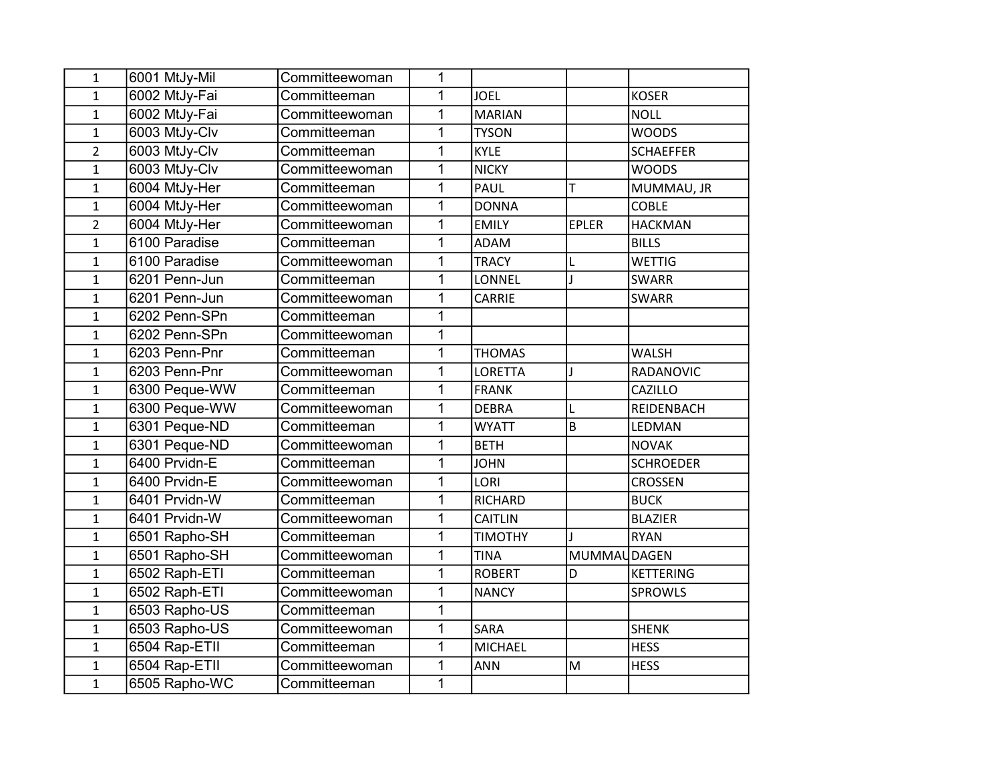| $\mathbf{1}$   | 6001 MtJy-Mil | Committeewoman | 1              |                |              |                  |
|----------------|---------------|----------------|----------------|----------------|--------------|------------------|
| $\mathbf{1}$   | 6002 MtJy-Fai | Committeeman   | 1              | <b>JOEL</b>    |              | <b>KOSER</b>     |
| $\mathbf{1}$   | 6002 MtJy-Fai | Committeewoman | $\mathbf 1$    | <b>MARIAN</b>  |              | <b>NOLL</b>      |
| $\mathbf{1}$   | 6003 MtJy-Clv | Committeeman   | 1              | <b>TYSON</b>   |              | <b>WOODS</b>     |
| $\overline{2}$ | 6003 MtJy-Clv | Committeeman   | $\overline{1}$ | <b>KYLE</b>    |              | <b>SCHAEFFER</b> |
| $\mathbf{1}$   | 6003 MtJy-Clv | Committeewoman | 1              | <b>NICKY</b>   |              | <b>WOODS</b>     |
| $\mathbf{1}$   | 6004 MtJy-Her | Committeeman   | 1              | <b>PAUL</b>    | T            | MUMMAU, JR       |
| $\mathbf{1}$   | 6004 MtJy-Her | Committeewoman | $\mathbf 1$    | <b>DONNA</b>   |              | <b>COBLE</b>     |
| $\overline{2}$ | 6004 MtJy-Her | Committeewoman | $\mathbf 1$    | <b>EMILY</b>   | <b>EPLER</b> | <b>HACKMAN</b>   |
| $\mathbf{1}$   | 6100 Paradise | Committeeman   | $\overline{1}$ | <b>ADAM</b>    |              | <b>BILLS</b>     |
| $\mathbf{1}$   | 6100 Paradise | Committeewoman | 1              | <b>TRACY</b>   | L            | <b>WETTIG</b>    |
| $\mathbf{1}$   | 6201 Penn-Jun | Committeeman   | 1              | LONNEL         | $\mathbf{I}$ | <b>SWARR</b>     |
| $\mathbf{1}$   | 6201 Penn-Jun | Committeewoman | $\mathbf{1}$   | CARRIE         |              | <b>SWARR</b>     |
| $\mathbf{1}$   | 6202 Penn-SPn | Committeeman   | $\overline{1}$ |                |              |                  |
| $\mathbf{1}$   | 6202 Penn-SPn | Committeewoman | 1              |                |              |                  |
| $\mathbf{1}$   | 6203 Penn-Pnr | Committeeman   | 1              | <b>THOMAS</b>  |              | <b>WALSH</b>     |
| $\mathbf{1}$   | 6203 Penn-Pnr | Committeewoman | 1              | <b>LORETTA</b> | J            | RADANOVIC        |
| $\mathbf{1}$   | 6300 Peque-WW | Committeeman   | $\mathbf 1$    | <b>FRANK</b>   |              | CAZILLO          |
| $\mathbf{1}$   | 6300 Peque-WW | Committeewoman | 1              | <b>DEBRA</b>   | L            | REIDENBACH       |
| $\mathbf{1}$   | 6301 Peque-ND | Committeeman   | 1              | <b>WYATT</b>   | B            | LEDMAN           |
| $\mathbf{1}$   | 6301 Peque-ND | Committeewoman | 1              | <b>BETH</b>    |              | <b>NOVAK</b>     |
| $\mathbf{1}$   | 6400 Prvidn-E | Committeeman   | 1              | <b>JOHN</b>    |              | <b>SCHROEDER</b> |
| $\mathbf{1}$   | 6400 Prvidn-E | Committeewoman | 1              | LORI           |              | <b>CROSSEN</b>   |
| $\mathbf{1}$   | 6401 Prvidn-W | Committeeman   | $\mathbf 1$    | <b>RICHARD</b> |              | <b>BUCK</b>      |
| $\mathbf{1}$   | 6401 Prvidn-W | Committeewoman | 1              | CAITLIN        |              | <b>BLAZIER</b>   |
| $\mathbf{1}$   | 6501 Rapho-SH | Committeeman   | 1              | <b>TIMOTHY</b> |              | <b>RYAN</b>      |
| $\mathbf{1}$   | 6501 Rapho-SH | Committeewoman | 1              | <b>TINA</b>    | MUMMAL       | JDAGEN           |
| $\mathbf{1}$   | 6502 Raph-ETI | Committeeman   | 1              | <b>ROBERT</b>  | D            | <b>KETTERING</b> |
| $\mathbf{1}$   | 6502 Raph-ETI | Committeewoman | $\mathbf 1$    | <b>NANCY</b>   |              | SPROWLS          |
| $\mathbf{1}$   | 6503 Rapho-US | Committeeman   | 1              |                |              |                  |
| $\mathbf{1}$   | 6503 Rapho-US | Committeewoman | $\overline{1}$ | SARA           |              | <b>SHENK</b>     |
| $\mathbf{1}$   | 6504 Rap-ETII | Committeeman   | 1              | <b>MICHAEL</b> |              | <b>HESS</b>      |
| $\mathbf{1}$   | 6504 Rap-ETII | Committeewoman | 1              | <b>ANN</b>     | M            | <b>HESS</b>      |
| $\mathbf{1}$   | 6505 Rapho-WC | Committeeman   | $\mathbf 1$    |                |              |                  |